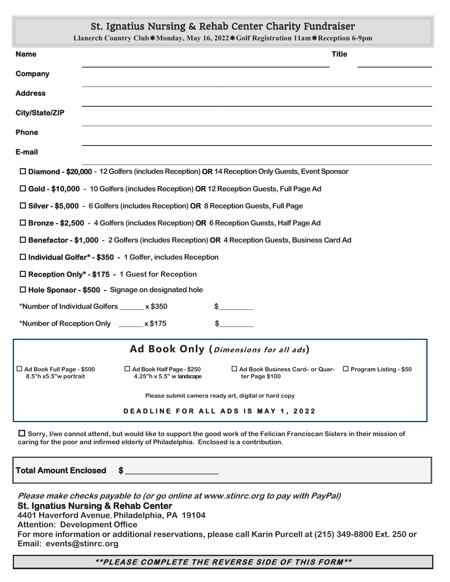# St. Ignatius Nursing & Rehab Center Charity Fundraiser

|                                                                                                                            | Thermormo transmith of training pattern primered training and<br>Llanerch Country Club*Monday, May 16, 2022*Golf Registration 11am*Reception 6-9pm |  |  |  |  |  |  |
|----------------------------------------------------------------------------------------------------------------------------|----------------------------------------------------------------------------------------------------------------------------------------------------|--|--|--|--|--|--|
| <b>Name</b>                                                                                                                | <b>Title</b>                                                                                                                                       |  |  |  |  |  |  |
| <b>Company</b>                                                                                                             |                                                                                                                                                    |  |  |  |  |  |  |
| <b>Address</b>                                                                                                             |                                                                                                                                                    |  |  |  |  |  |  |
| <b>City/State/ZIP</b>                                                                                                      |                                                                                                                                                    |  |  |  |  |  |  |
| <b>Phone</b>                                                                                                               |                                                                                                                                                    |  |  |  |  |  |  |
| E-mail                                                                                                                     |                                                                                                                                                    |  |  |  |  |  |  |
| $\Box$ Diamond - \$20,000 - 12 Golfers (includes Reception) OR 14 Reception Only Guests, Event Sponsor                     |                                                                                                                                                    |  |  |  |  |  |  |
| □ Gold - \$10,000 - 10 Golfers (includes Reception) OR 12 Reception Guests, Full Page Ad                                   |                                                                                                                                                    |  |  |  |  |  |  |
| □ Silver - \$5,000 - 6 Golfers (includes Reception) OR 8 Reception Guests, Full Page                                       |                                                                                                                                                    |  |  |  |  |  |  |
| $\Box$ Bronze - \$2,500 - 4 Golfers (includes Reception) OR 6 Reception Guests, Half Page Ad                               |                                                                                                                                                    |  |  |  |  |  |  |
| □ Benefactor - \$1,000 - 2 Golfers (includes Reception) OR 4 Reception Guests, Business Card Ad                            |                                                                                                                                                    |  |  |  |  |  |  |
| $\Box$ Individual Golfer* - \$350 - 1 Golfer, includes Reception                                                           |                                                                                                                                                    |  |  |  |  |  |  |
| □ Reception Only* - \$175 - 1 Guest for Reception                                                                          |                                                                                                                                                    |  |  |  |  |  |  |
| □ Hole Sponsor - \$500 - Signage on designated hole                                                                        |                                                                                                                                                    |  |  |  |  |  |  |
| *Number of Individual Golfers ______ x \$350                                                                               | s                                                                                                                                                  |  |  |  |  |  |  |
| *Number of Reception Only ______ x \$175                                                                                   |                                                                                                                                                    |  |  |  |  |  |  |
| Ad Book Only (Dimensions for all ads)                                                                                      |                                                                                                                                                    |  |  |  |  |  |  |
| $\Box$ Ad Book Full Page - \$500<br>$\Box$ Ad Book Half Page - \$250<br>8.5"h x5.5"w portrait<br>4.25"h x 5.5" w landscape | $\Box$ Ad Book Business Card- or Quar- $\Box$ Program Listing - \$50<br>ter Page \$100                                                             |  |  |  |  |  |  |
| Please submit camera ready art, digital or hard copy                                                                       |                                                                                                                                                    |  |  |  |  |  |  |
| <b>DEADLINE FOR ALL ADS IS MAY 1, 2022</b>                                                                                 |                                                                                                                                                    |  |  |  |  |  |  |
|                                                                                                                            |                                                                                                                                                    |  |  |  |  |  |  |

 **Sorry, I/we cannot attend, but would like to support the good work of the Felician Franciscan Sisters in their mission of caring for the poor and infirmed elderly of Philadelphia. Enclosed is a contribution.** 

**Total Amount Enclosed \$ \_\_\_\_\_\_\_\_\_\_\_\_\_\_\_\_\_\_\_\_\_\_\_** 

**Please make checks payable to (or go online at www.stinrc.org to pay with PayPal) St. Ignatius Nursing & Rehab Center 4401 Haverford Avenue, Philadelphia, PA 19104 Attention: Development Office For more information or additional reservations, please call Karin Purcell at (215) 349-8800 Ext. 250 or Email: events@stinrc.org** 

#### \*\*PLEASE COMPLETE THE REVERSE SIDE OF THIS FORM\*\*